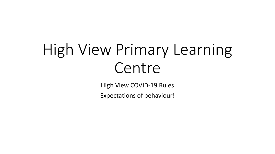# High View Primary Learning Centre

High View COVID-19 Rules

Expectations of behaviour!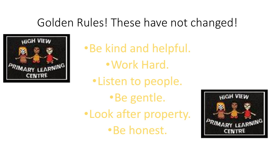## Golden Rules! These have not changed!



•Be kind and helpful. •Work Hard.

•Listen to people.

•Be gentle. •Look after property. •Be honest.

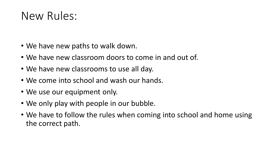## New Rules:

- We have new paths to walk down.
- We have new classroom doors to come in and out of.
- We have new classrooms to use all day.
- We come into school and wash our hands.
- We use our equipment only.
- We only play with people in our bubble.
- We have to follow the rules when coming into school and home using the correct path.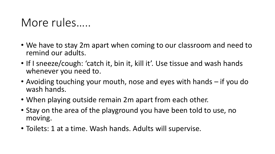#### More rules…..

- We have to stay 2m apart when coming to our classroom and need to remind our adults.
- If I sneeze/cough: 'catch it, bin it, kill it'. Use tissue and wash hands whenever you need to.
- Avoiding touching your mouth, nose and eyes with hands if you do wash hands.
- When playing outside remain 2m apart from each other.
- Stay on the area of the playground you have been told to use, no moving.
- Toilets: 1 at a time. Wash hands. Adults will supervise.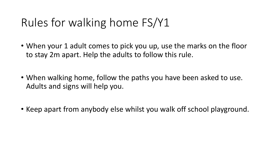# Rules for walking home FS/Y1

- When your 1 adult comes to pick you up, use the marks on the floor to stay 2m apart. Help the adults to follow this rule.
- When walking home, follow the paths you have been asked to use. Adults and signs will help you.
- Keep apart from anybody else whilst you walk off school playground.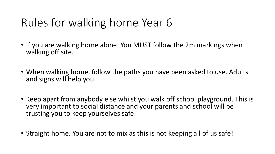# Rules for walking home Year 6

- If you are walking home alone: You MUST follow the 2m markings when walking off site.
- When walking home, follow the paths you have been asked to use. Adults and signs will help you.
- Keep apart from anybody else whilst you walk off school playground. This is very important to social distance and your parents and school will be trusting you to keep yourselves safe.
- Straight home. You are not to mix as this is not keeping all of us safe!